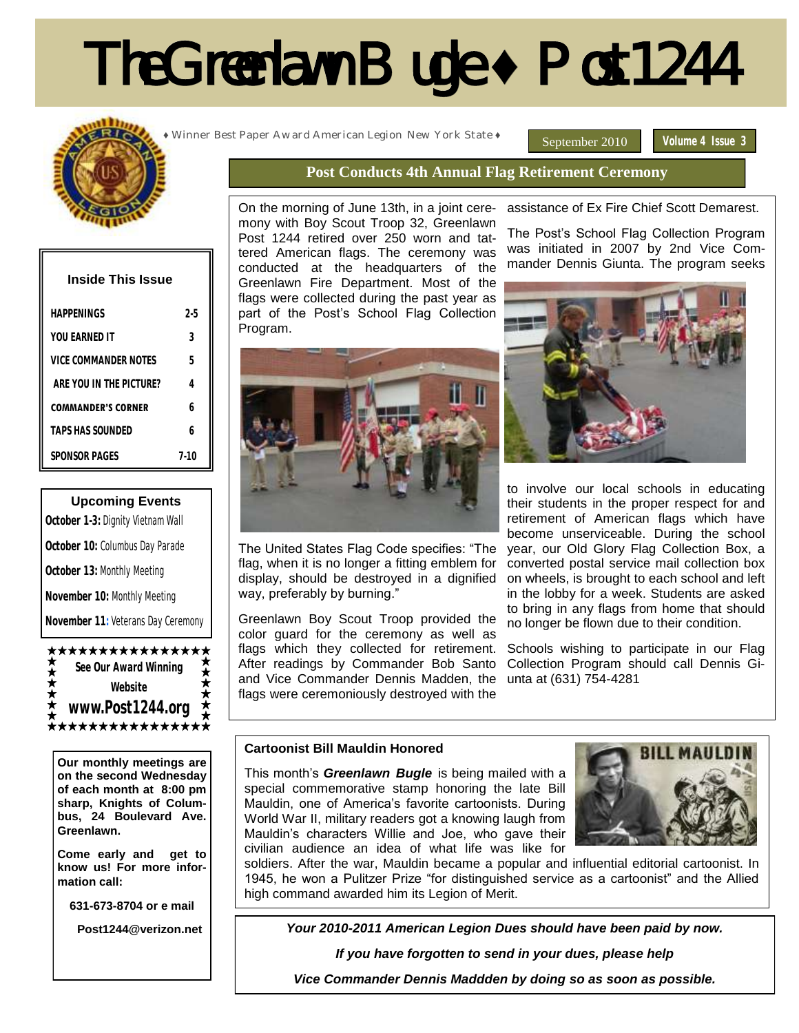# The Greenlawn Bugle **♦** Post 1244



| <b>Inside This Issue</b>  |      |  |
|---------------------------|------|--|
| HAPPFNINGS                | 2-5  |  |
| YOU FARNED IT             | 3    |  |
| VICE COMMANDER NOTES      | 5    |  |
| ARE YOU IN THE PICTURE?   | 4    |  |
| <b>COMMANDER'S CORNER</b> | h    |  |
| TAPS HAS SOUNDED          | h    |  |
| SPONSOR PAGES             | 7-10 |  |

#### **Upcoming Events**

**October 1-3:** Dignity Vietnam Wall **October 10:** Columbus Day Parade **October 13:** Monthly Meeting **November 10:** Monthly Meeting **November 11:**Veterans Day Ceremony



**Our monthly meetings are on the second Wednesday of each month at 8:00 pm sharp, Knights of Columbus, 24 Boulevard Ave. Greenlawn.** 

**Come early and get to know us! For more information call:**

**631-673-8704 or e mail**

 **Post1244@verizon.net**

**♦** Winner Best Paper Award American Legion New York State **♦**

September 2010 **Volume 4 Issue 3** 

#### **Post Conducts 4th Annual Flag Retirement Ceremony**

On the morning of June 13th, in a joint ceremony with Boy Scout Troop 32, Greenlawn Post 1244 retired over 250 worn and tattered American flags. The ceremony was conducted at the headquarters of the Greenlawn Fire Department. Most of the flags were collected during the past year as part of the Post's School Flag Collection Program.



The United States Flag Code specifies: "The flag, when it is no longer a fitting emblem for display, should be destroyed in a dignified way, preferably by burning."

Greenlawn Boy Scout Troop provided the color guard for the ceremony as well as flags which they collected for retirement. After readings by Commander Bob Santo and Vice Commander Dennis Madden, the flags were ceremoniously destroyed with the

assistance of Ex Fire Chief Scott Demarest.

The Post's School Flag Collection Program was initiated in 2007 by 2nd Vice Commander Dennis Giunta. The program seeks



to involve our local schools in educating their students in the proper respect for and retirement of American flags which have become unserviceable. During the school year, our Old Glory Flag Collection Box, a converted postal service mail collection box on wheels, is brought to each school and left in the lobby for a week. Students are asked to bring in any flags from home that should no longer be flown due to their condition.

Schools wishing to participate in our Flag Collection Program should call Dennis Giunta at (631) 754-4281

#### **Cartoonist Bill Mauldin Honored**

This month's *Greenlawn Bugle* is being mailed with a special commemorative stamp honoring the late Bill Mauldin, one of America's favorite cartoonists. During World War II, military readers got a knowing laugh from Mauldin's characters Willie and Joe, who gave their civilian audience an idea of what life was like for



soldiers. After the war, Mauldin became a popular and influential editorial cartoonist. In 1945, he won a Pulitzer Prize "for distinguished service as a cartoonist" and the Allied high command awarded him its Legion of Merit.

*Your 2010-2011 American Legion Dues should have been paid by now.*

*If you have forgotten to send in your dues, please help* 

*Vice Commander Dennis Maddden by doing so as soon as possible.*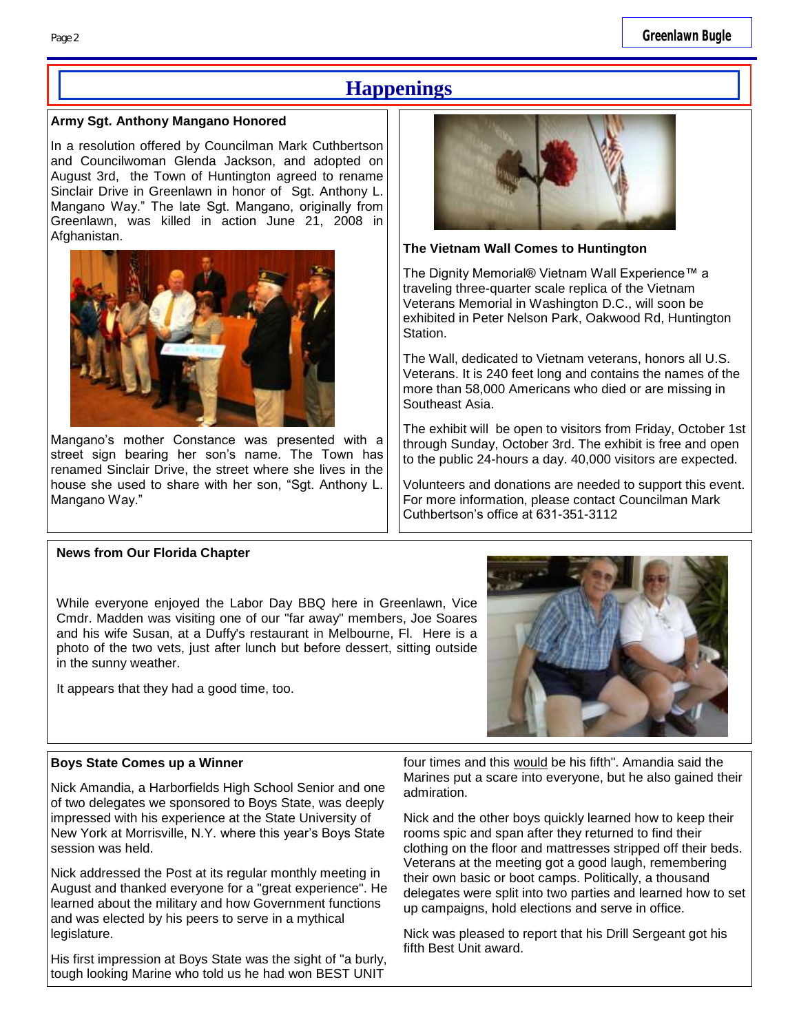## **Happenings**

#### **Army Sgt. Anthony Mangano Honored**

In a resolution offered by Councilman Mark Cuthbertson and Councilwoman Glenda Jackson, and adopted on August 3rd, the Town of Huntington agreed to rename Sinclair Drive in Greenlawn in honor of Sgt. Anthony L. Mangano Way." The late Sgt. Mangano, originally from Greenlawn, was killed in action June 21, 2008 in Afghanistan.



Mangano's mother Constance was presented with a street sign bearing her son's name. The Town has renamed Sinclair Drive, the street where she lives in the house she used to share with her son, "Sgt. Anthony L. Mangano Way."



#### **The Vietnam Wall Comes to Huntington**

The Dignity Memorial® Vietnam Wall Experience™ a traveling three-quarter scale replica of the Vietnam Veterans Memorial in Washington D.C., will soon be exhibited in Peter Nelson Park, Oakwood Rd, Huntington Station.

The Wall, dedicated to Vietnam veterans, honors all U.S. Veterans. It is 240 feet long and contains the names of the more than 58,000 Americans who died or are missing in Southeast Asia.

The exhibit will be open to visitors from Friday, October 1st through Sunday, October 3rd. The exhibit is free and open to the public 24-hours a day. 40,000 visitors are expected.

Volunteers and donations are needed to support this event. For more information, please contact Councilman Mark Cuthbertson's office at 631-351-3112

#### **News from Our Florida Chapter**

While everyone enjoyed the Labor Day BBQ here in Greenlawn, Vice Cmdr. Madden was visiting one of our "far away" members, Joe Soares and his wife Susan, at a Duffy's restaurant in Melbourne, Fl. Here is a photo of the two vets, just after lunch but before dessert, sitting outside in the sunny weather.

It appears that they had a good time, too.



#### **Boys State Comes up a Winner**

Nick Amandia, a Harborfields High School Senior and one of two delegates we sponsored to Boys State, was deeply impressed with his experience at the State University of New York at Morrisville, N.Y. where this year's Boys State session was held.

Nick addressed the Post at its regular monthly meeting in August and thanked everyone for a "great experience". He learned about the military and how Government functions and was elected by his peers to serve in a mythical legislature.

His first impression at Boys State was the sight of "a burly, tough looking Marine who told us he had won BEST UNIT

four times and this would be his fifth". Amandia said the Marines put a scare into everyone, but he also gained their admiration.

Nick and the other boys quickly learned how to keep their rooms spic and span after they returned to find their clothing on the floor and mattresses stripped off their beds. Veterans at the meeting got a good laugh, remembering their own basic or boot camps. Politically, a thousand delegates were split into two parties and learned how to set up campaigns, hold elections and serve in office.

Nick was pleased to report that his Drill Sergeant got his fifth Best Unit award.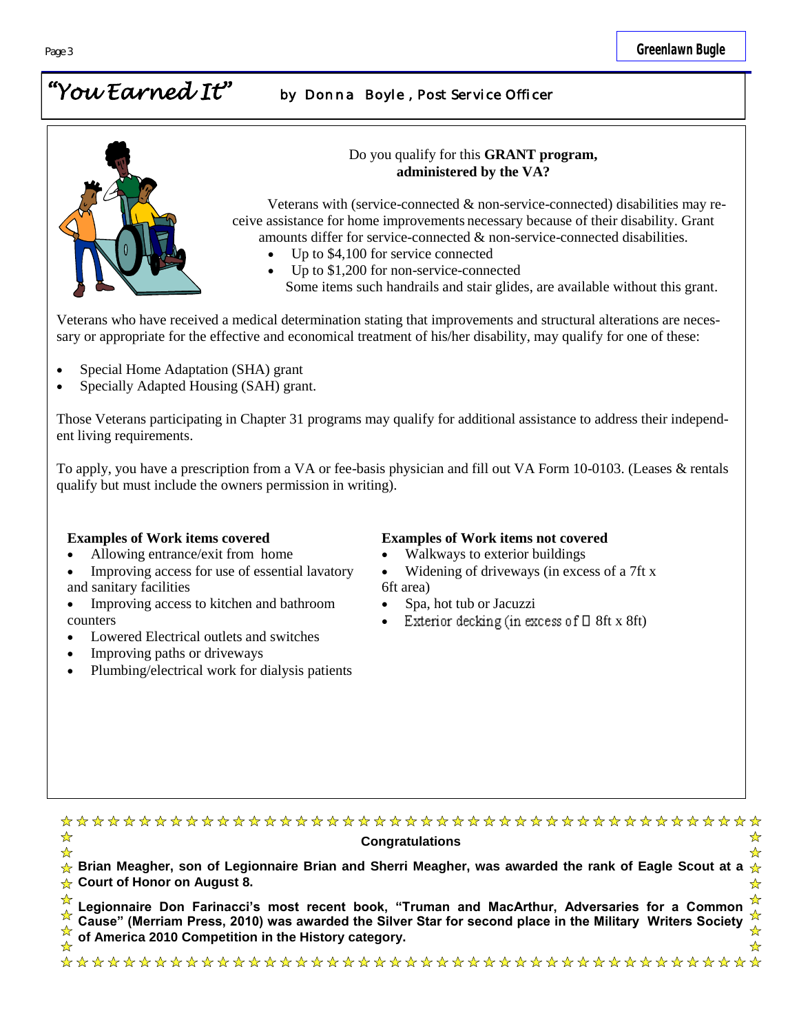## *"You Earned It" by Donna Boyle , Post Service Officer*



#### Do you qualify for this **GRANT program, administered by the VA?**

Veterans with (service-connected & non-service-connected) disabilities may receive assistance for home improvements necessary because of their disability. Grant amounts differ for service-connected & non-service-connected disabilities.

- Up to \$4,100 for service connected
- Up to \$1,200 for non-service-connected

Some items such handrails and stair glides, are available without this grant.

Veterans who have received a medical determination stating that improvements and structural alterations are necessary or appropriate for the effective and economical treatment of his/her disability, may qualify for one of these:

- Special Home Adaptation (SHA) grant
- Specially Adapted Housing (SAH) grant.

Those Veterans participating in Chapter 31 programs may qualify for additional assistance to address their independent living requirements.

To apply, you have a prescription from a VA or fee-basis physician and fill out VA Form 10-0103. (Leases & rentals qualify but must include the owners permission in writing).

- Allowing entrance/exit from home
- Improving access for use of essential lavatory and sanitary facilities
- Improving access to kitchen and bathroom counters
- Lowered Electrical outlets and switches
- Improving paths or driveways
- Plumbing/electrical work for dialysis patients

#### **Examples of Work items covered Examples of Work items not covered**

- Walkways to exterior buildings
- Widening of driveways (in excess of a 7ft x 6ft area)
- Spa, hot tub or Jacuzzi
- Exterior decking (in excess of  $\Box$  8ft x 8ft)

| ⊀≿<br><b>Congratulations</b>                                                                                                                                                                                                                                     |  |
|------------------------------------------------------------------------------------------------------------------------------------------------------------------------------------------------------------------------------------------------------------------|--|
| $\frac{\lambda}{\Delta}$ Brian Meagher, son of Legionnaire Brian and Sherri Meagher, was awarded the rank of Eagle Scout at a $\frac{\lambda}{\Delta}$<br>$\rightarrow$ Court of Honor on August 8.                                                              |  |
| Legionnaire Don Farinacci's most recent book, "Truman and MacArthur, Adversaries for a Common $\overrightarrow{\hat{X}}$<br>Cause" (Merriam Press, 2010) was awarded the Silver Star for second place in the Military Writers Society $\overrightarrow{\hat{X}}$ |  |
|                                                                                                                                                                                                                                                                  |  |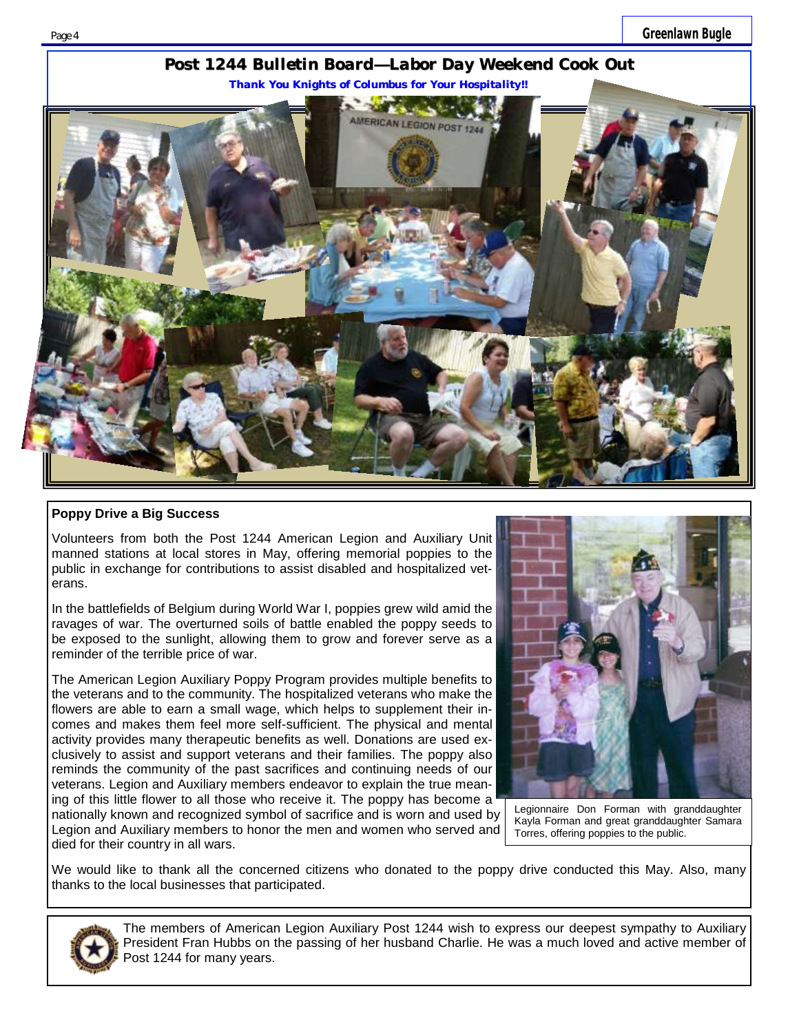

#### **Poppy Drive a Big Success**

Volunteers from both the Post 1244 American Legion and Auxiliary Unit manned stations at local stores in May, offering memorial poppies to the public in exchange for contributions to assist disabled and hospitalized veterans.

In the battlefields of Belgium during World War I, poppies grew wild amid the ravages of war. The overturned soils of battle enabled the poppy seeds to be exposed to the sunlight, allowing them to grow and forever serve as a reminder of the terrible price of war.

The American Legion Auxiliary Poppy Program provides multiple benefits to the veterans and to the community. The hospitalized veterans who make the flowers are able to earn a small wage, which helps to supplement their incomes and makes them feel more self-sufficient. The physical and mental activity provides many therapeutic benefits as well. Donations are used exclusively to assist and support veterans and their families. The poppy also reminds the community of the past sacrifices and continuing needs of our veterans. Legion and Auxiliary members endeavor to explain the true meaning of this little flower to all those who receive it. The poppy has become a nationally known and recognized symbol of sacrifice and is worn and used by Legion and Auxiliary members to honor the men and women who served and



Legionnaire Don Forman with granddaughter Kayla Forman and great granddaughter Samara Torres, offering poppies to the public.

We would like to thank all the concerned citizens who donated to the poppy drive conducted this May. Also, many thanks to the local businesses that participated.



died for their country in all wars.

The members of American Legion Auxiliary Post 1244 wish to express our deepest sympathy to Auxiliary President Fran Hubbs on the passing of her husband Charlie. He was a much loved and active member of Post 1244 for many years.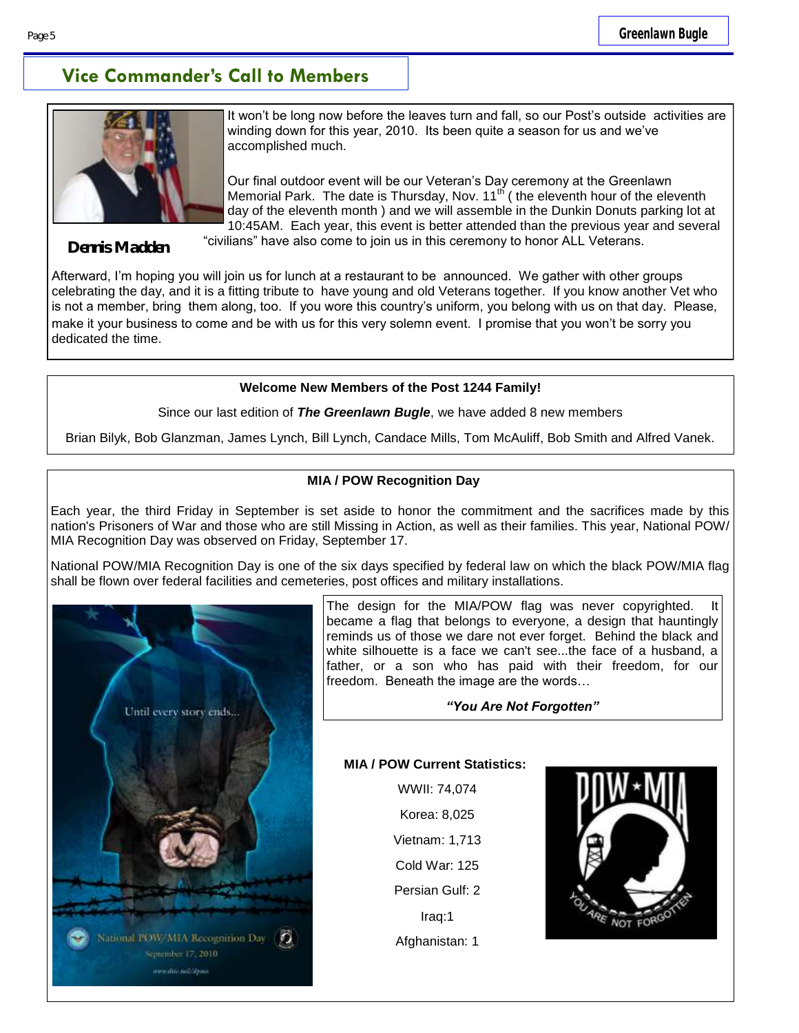## **Vice Commander's Call to Members**



It won't be long now before the leaves turn and fall, so our Post's outside activities are winding down for this year, 2010. Its been quite a season for us and we've accomplished much.

Our final outdoor event will be our Veteran's Day ceremony at the Greenlawn Memorial Park. The date is Thursday, Nov.  $11<sup>th</sup>$  (the eleventh hour of the eleventh day of the eleventh month ) and we will assemble in the Dunkin Donuts parking lot at 10:45AM. Each year, this event is better attended than the previous year and several "civilians" have also come to join us in this ceremony to honor ALL Veterans.

**Dennis Madden**

Afterward, I'm hoping you will join us for lunch at a restaurant to be announced. We gather with other groups celebrating the day, and it is a fitting tribute to have young and old Veterans together. If you know another Vet who is not a member, bring them along, too. If you wore this country's uniform, you belong with us on that day. Please, make it your business to come and be with us for this very solemn event. I promise that you won't be sorry you dedicated the time.

#### **Welcome New Members of the Post 1244 Family!**

Since our last edition of *The Greenlawn Bugle*, we have added 8 new members

Brian Bilyk, Bob Glanzman, James Lynch, Bill Lynch, Candace Mills, Tom McAuliff, Bob Smith and Alfred Vanek.

#### **MIA / POW Recognition Day**

Each year, the third Friday in September is set aside to honor the commitment and the sacrifices made by this nation's Prisoners of War and those who are still Missing in Action, as well as their families. This year, National POW/ MIA Recognition Day was observed on Friday, September 17.

National POW/MIA Recognition Day is one of the six days specified by federal law on which the black POW/MIA flag shall be flown over federal facilities and cemeteries, post offices and military installations.



The design for the MIA/POW flag was never copyrighted. became a flag that belongs to everyone, a design that hauntingly reminds us of those we dare not ever forget. Behind the black and white silhouette is a face we can't see...the face of a husband, a father, or a son who has paid with their freedom, for our freedom. Beneath the image are the words…

#### *"You Are Not Forgotten"*

#### **MIA / POW Current Statistics:**

WWII: 74,074 Korea: 8,025 Vietnam: 1,713 Cold War: 125 Persian Gulf: 2 Iraq:1 Afghanistan: 1

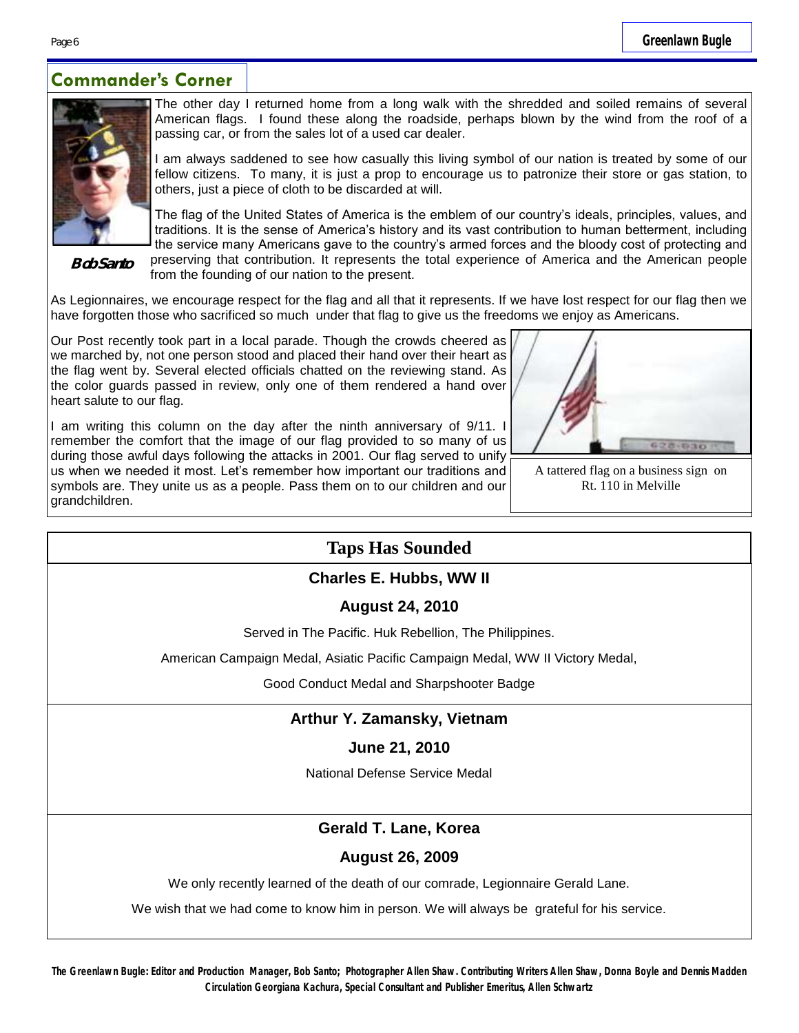## **Commander's Corner**



The other day I returned home from a long walk with the shredded and soiled remains of several American flags. I found these along the roadside, perhaps blown by the wind from the roof of a passing car, or from the sales lot of a used car dealer.

I am always saddened to see how casually this living symbol of our nation is treated by some of our fellow citizens. To many, it is just a prop to encourage us to patronize their store or gas station, to others, just a piece of cloth to be discarded at will.

**Bob Santo**

The flag of the United States of America is the emblem of our country's ideals, principles, values, and traditions. It is the sense of America's history and its vast contribution to human betterment, including the service many Americans gave to the country's armed forces and the bloody cost of protecting and preserving that contribution. It represents the total experience of America and the American people from the founding of our nation to the present.

As Legionnaires, we encourage respect for the flag and all that it represents. If we have lost respect for our flag then we have forgotten those who sacrificed so much under that flag to give us the freedoms we enjoy as Americans.

Our Post recently took part in a local parade. Though the crowds cheered as we marched by, not one person stood and placed their hand over their heart as the flag went by. Several elected officials chatted on the reviewing stand. As the color guards passed in review, only one of them rendered a hand over heart salute to our flag.

I am writing this column on the day after the ninth anniversary of 9/11. I remember the comfort that the image of our flag provided to so many of us during those awful days following the attacks in 2001. Our flag served to unify us when we needed it most. Let's remember how important our traditions and symbols are. They unite us as a people. Pass them on to our children and our grandchildren.



A tattered flag on a business sign on Rt. 110 in Melville

## **Taps Has Sounded**

#### **Charles E. Hubbs, WW II**

**August 24, 2010**

Served in The Pacific. Huk Rebellion, The Philippines.

American Campaign Medal, Asiatic Pacific Campaign Medal, WW II Victory Medal,

Good Conduct Medal and Sharpshooter Badge

## **Arthur Y. Zamansky, Vietnam**

#### **June 21, 2010**

National Defense Service Medal

## **Gerald T. Lane, Korea**

#### **August 26, 2009**

We only recently learned of the death of our comrade, Legionnaire Gerald Lane.

We wish that we had come to know him in person. We will always be grateful for his service.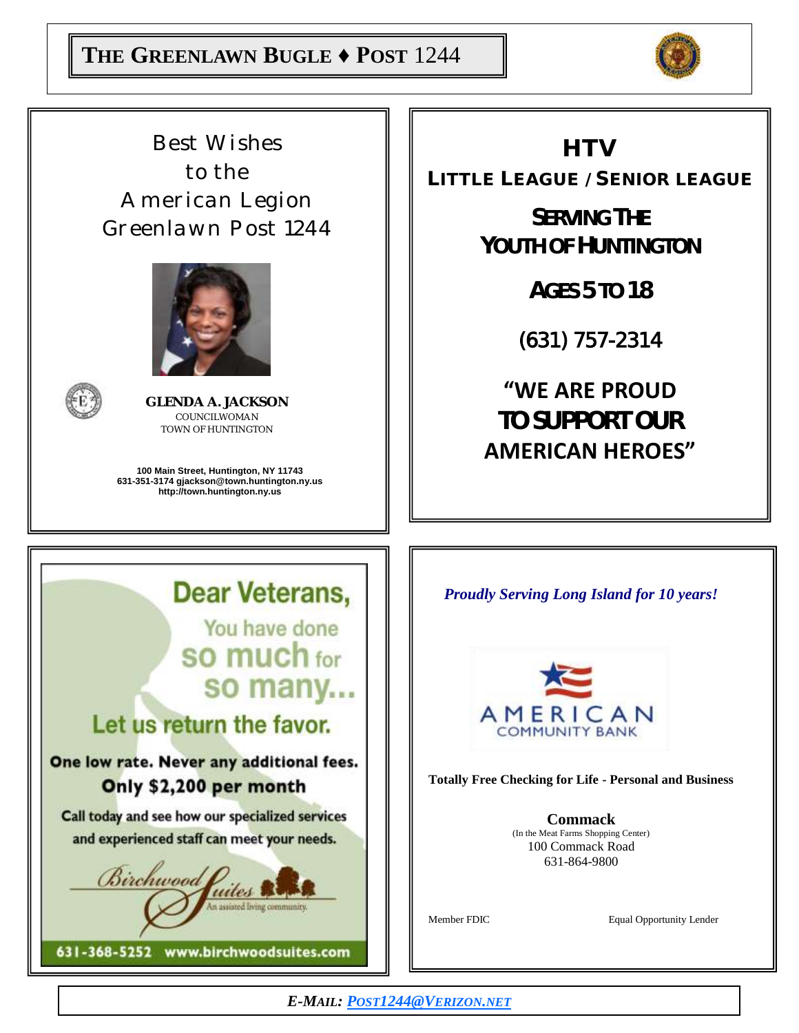

*Best Wishes to the American Legion Greenlawn Post 1244*





**GLENDA A. JACKSON** COUNCILWOMAN TOWN OF HUNTINGTON

**100 Main Street, Huntington, NY 11743 631-351-3174 gjackson@town.huntington.ny.us http://town.huntington.ny.us**

**HTV** 

LITTLE LEAGUE / SENIOR LEAGUE

**SERVING THE YOUTH OF HUNTINGTON**

**AGES 5 TO 18**

(631) 757-2314

**"WE ARE PROUD TO SUPPORT OUR AMERICAN HEROES"**

**Dear Veterans,** You have done SO much for so many...

# Let us return the favor.

## One low rate. Never any additional fees. Only \$2,200 per month

Call today and see how our specialized services and experienced staff can meet your needs.



*Proudly Serving Long Island for 10 years!*



**Totally Free Checking for Life - Personal and Business**

**Commack** (In the Meat Farms Shopping Center) 100 Commack Road 631-864-9800

Member FDIC Equal Opportunity Lender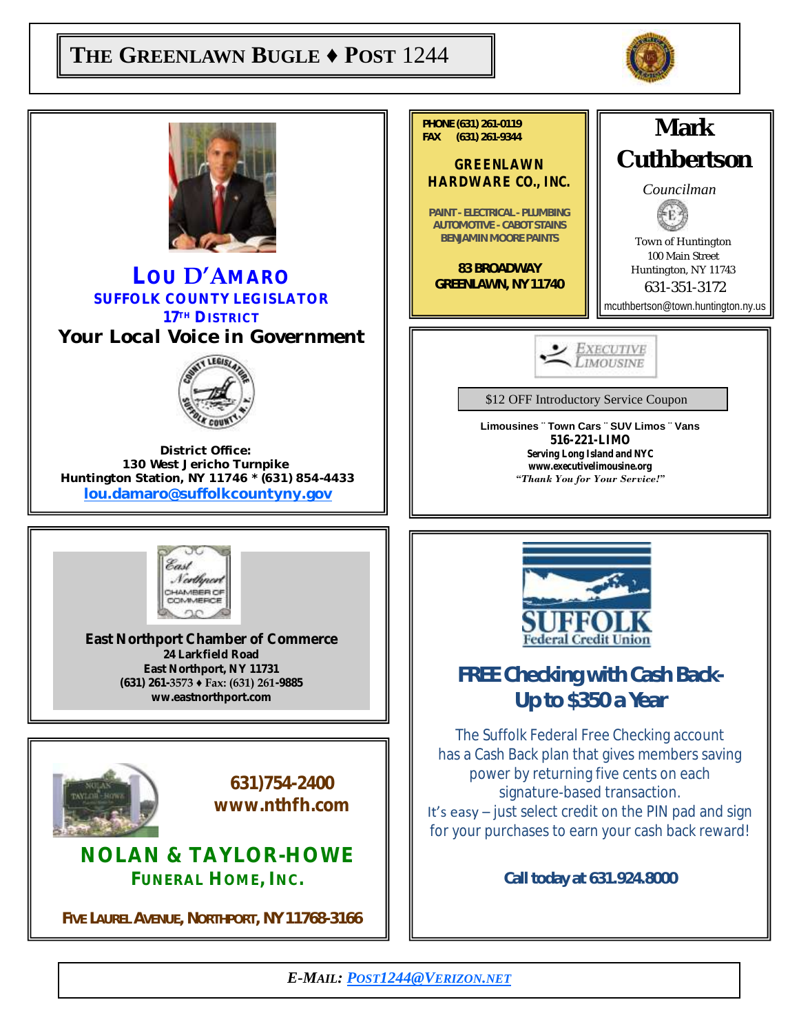## **THE GREENLAWN BUGLE ♦ POST** 1244



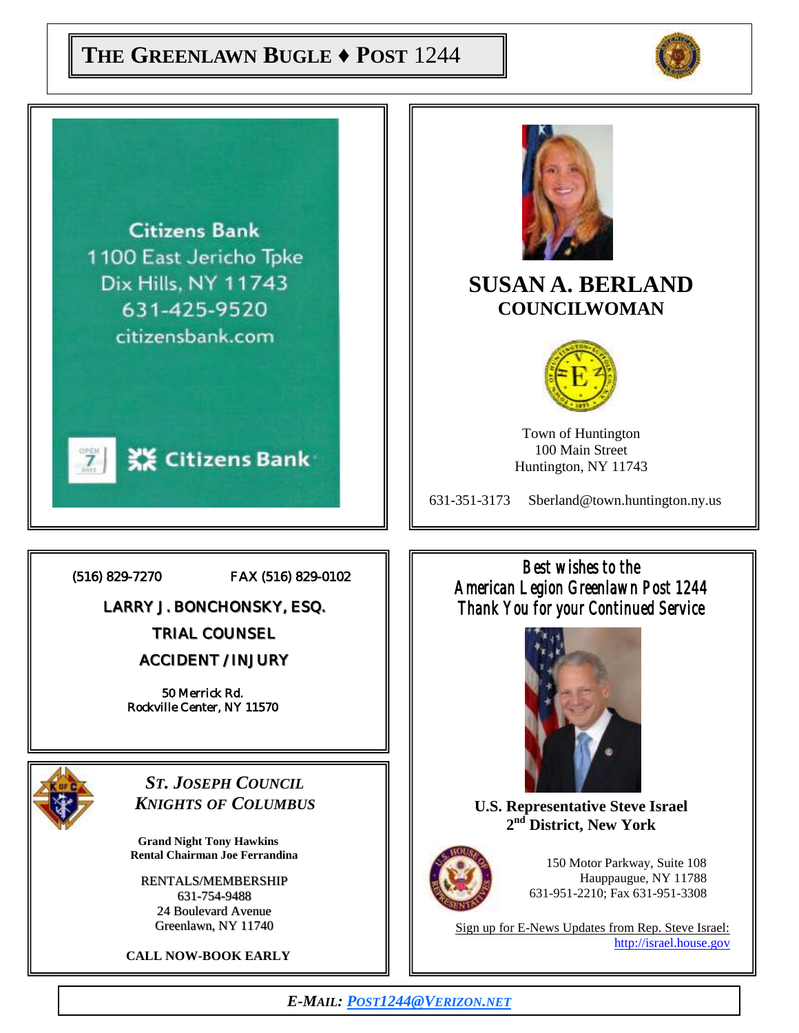## **THE GREENLAWN BUGLE ♦ POST** 1244



**Citizens Bank** 1100 East Jericho Tpke Dix Hills, NY 11743 631-425-9520 citizensbank.com



(516) 829-7270 FAX (516) 829-0102

LARRY J. BONCHONSKY, ESQ.

TRIAL COUNSEL

ACCIDENT / INJURY

50 Merrick Rd. Rockville Center, NY 11570



*ST. JOSEPH COUNCIL KNIGHTS OF COLUMBUS*

**Grand Night Tony Hawkins Rental Chairman Joe Ferrandina**

RENTALS/MEMBERSHIP 631-754-9488 24 Boulevard Avenue Greenlawn, NY 11740

**CALL NOW-BOOK EARLY**



## **SUSAN A. BERLAND COUNCILWOMAN**



Town of Huntington 100 Main Street Huntington, NY 11743

631-351-3173 Sberland@town.huntington.ny.us

*Best wishes to the American Legion Greenlawn Post 1244 Thank You for your Continued Service* 



**U.S. Representative Steve Israel 2 nd District, New York**



150 Motor Parkway, Suite 108 Hauppaugue, NY 11788 631-951-2210; Fax 631-951-3308

Sign up for E-News Updates from Rep. Steve Israel: http://israel.house.gov